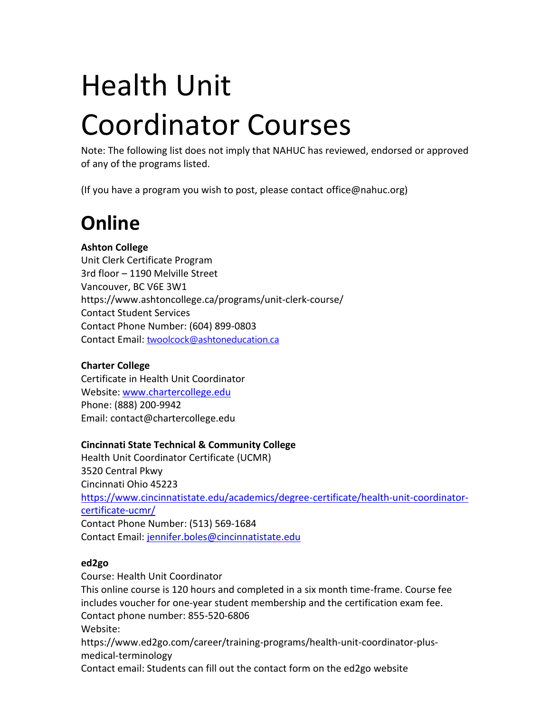# Health Unit Coordinator Courses

Note: The following list does not imply that NAHUC has reviewed, endorsed or approved of any of the programs listed.

(If you have a program you wish to post, please contact office@nahuc.org)

# **Online**

#### **Ashton College**

Unit Clerk Certificate Program 3rd floor – 1190 Melville Street Vancouver, BC V6E 3W1 https://www.ashtoncollege.ca/programs/unit-clerk-course/ Contact Student Services Contact Phone Number: (604) 899-0803 Contact Email: [twoolcock@ashtoneducation.ca](mailto:twoolcock@ashtoneducation.ca)

#### **Charter College**

Certificate in Health Unit Coordinator Website: [www.chartercollege.edu](http://www.chartercollege.edu/) Phone: (888) 200-9942 Email: contact@chartercollege.edu

#### **Cincinnati State Technical & Community College**

Health Unit Coordinator Certificate (UCMR) 3520 Central Pkwy Cincinnati Ohio 45223 [https://www.cincinnatistate.edu/academics/degree-certificate/health-unit-coordinator](https://www.cincinnatistate.edu/academics/degree-certificate/health-unit-coordinator-certificate-ucmr/)[certificate-ucmr/](https://www.cincinnatistate.edu/academics/degree-certificate/health-unit-coordinator-certificate-ucmr/) Contact Phone Number: (513) 569-1684 Contact Email: [jennifer.boles@cincinnatistate.edu](mailto:jennifer.boles@cincinnatistate.edu)

#### **ed2go**

Course: Health Unit Coordinator This online course is 120 hours and completed in a six month time-frame. Course fee includes voucher for one-year student membership and the certification exam fee. Contact phone number: 855-520-6806 Website: https://www.ed2go.com/career/training-programs/health-unit-coordinator-plusmedical-terminology Contact email: Students can fill out the contact form on the ed2go website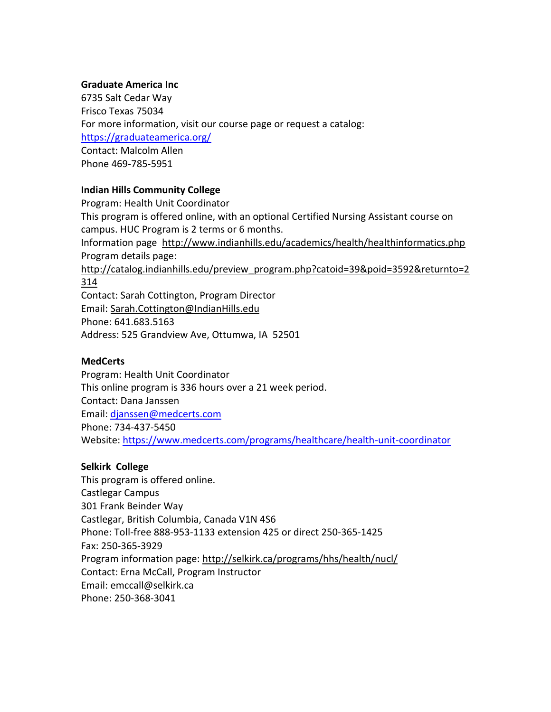#### **Graduate America Inc**

6735 Salt Cedar Way Frisco Texas 75034 For more information, visit our course page or request a catalog: <https://graduateamerica.org/> Contact: Malcolm Allen Phone 469-785-5951

#### **Indian Hills Community College**

Program: Health Unit Coordinator This program is offered online, with an optional Certified Nursing Assistant course on campus. HUC Program is 2 terms or 6 months. Information page <http://www.indianhills.edu/academics/health/healthinformatics.php> Program details page: [http://catalog.indianhills.edu/preview\\_program.php?catoid=39&poid=3592&returnto=2](http://catalog.indianhills.edu/preview_program.php?catoid=39&poid=3592&returnto=2314) [314](http://catalog.indianhills.edu/preview_program.php?catoid=39&poid=3592&returnto=2314) Contact: Sarah Cottington, Program Director Email: [Sarah.Cottington@IndianHills.edu](mailto:Sarah.Cottington@IndianHills.edu) Phone: 641.683.5163

Address: 525 Grandview Ave, Ottumwa, IA 52501

#### **MedCerts**

Program: Health Unit Coordinator This online program is 336 hours over a 21 week period. Contact: Dana Janssen Email: [djanssen@medcerts.com](mailto:djanssen@medcerts.com) Phone: 734-437-5450 Website:<https://www.medcerts.com/programs/healthcare/health-unit-coordinator>

#### **Selkirk College**

This program is offered online. Castlegar Campus 301 Frank Beinder Way Castlegar, British Columbia, Canada V1N 4S6 Phone: Toll-free 888-953-1133 extension 425 or direct 250-365-1425 Fax: 250-365-3929 Program information page: [http://selkirk.ca/programs/hhs/health/nucl/](http://selkirk.ca/programs/hhs/health/nucl) Contact: Erna McCall, Program Instructor Email: emccall@selkirk.ca Phone: 250-368-3041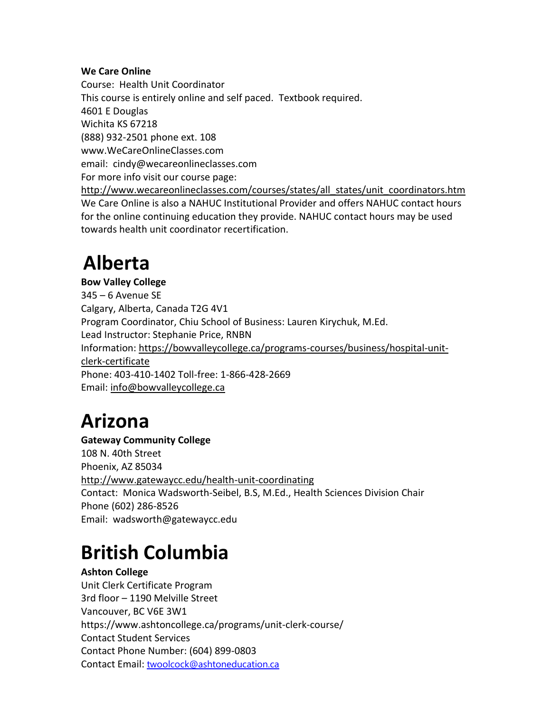#### **We Care Online**

Course: Health Unit Coordinator This course is entirely online and self paced. Textbook required. 4601 E Douglas Wichita KS 67218 (888) 932-2501 phone ext. 108 www.WeCareOnlineClasses.com email: cindy@wecareonlineclasses.com For more info visit our course page: [http://www.wecareonlineclasses.com/courses/states/all\\_states/unit\\_coordinators.htm](http://www.wecareonlineclasses.com/courses/states/all_states/unit_coordinators.htm) We Care Online is also a NAHUC Institutional Provider and offers NAHUC contact hours for the online continuing education they provide. NAHUC contact hours may be used towards health unit coordinator recertification.

### **Alberta**

**Bow Valley College** 345 – 6 Avenue SE Calgary, Alberta, Canada T2G 4V1 Program Coordinator, Chiu School of Business: Lauren Kirychuk, M.Ed. Lead Instructor: Stephanie Price, RNBN Information: [https://bowvalleycollege.ca/programs-courses/business/hospital-unit](https://bowvalleycollege.ca/programs-courses/business/hospital-unit-clerk-certificate)[clerk-certificate](https://bowvalleycollege.ca/programs-courses/business/hospital-unit-clerk-certificate) Phone: 403-410-1402 Toll-free: 1-866-428-2669 Email: [info@bowvalleycollege.ca](mailto:info@bowvalleycollege.ca)

### **Arizona**

**Gateway Community College** 108 N. 40th Street Phoenix, AZ 85034 <http://www.gatewaycc.edu/health-unit-coordinating> Contact: Monica Wadsworth-Seibel, B.S, M.Ed., Health Sciences Division Chair Phone (602) 286-8526 Email: wadsworth@gatewaycc.edu

### **British Columbia**

**Ashton College** Unit Clerk Certificate Program 3rd floor – 1190 Melville Street Vancouver, BC V6E 3W1 https://www.ashtoncollege.ca/programs/unit-clerk-course/ Contact Student Services Contact Phone Number: (604) 899-0803 Contact Email: [twoolcock@ashtoneducation.ca](mailto:twoolcock@ashtoneducation.ca)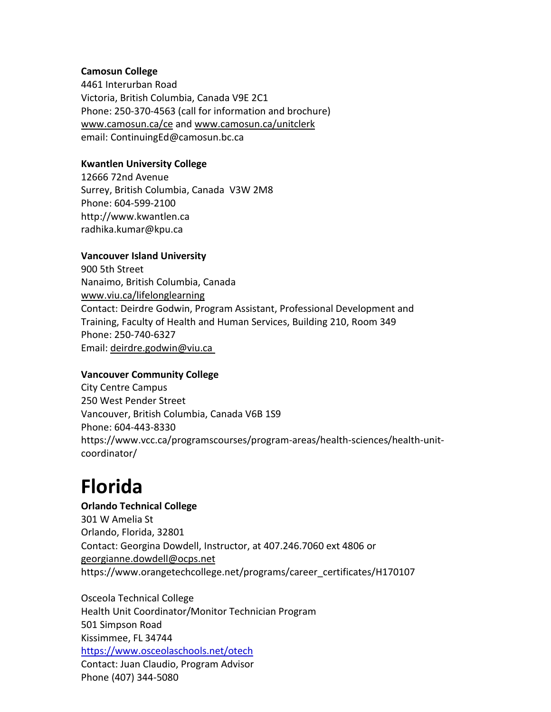#### **Camosun College**

4461 Interurban Road Victoria, British Columbia, Canada V9E 2C1 Phone: 250-370-4563 (call for information and brochure) [www.camosun.ca/ce](http://www.camosun.bc.ca/ce) and [www.camosun.ca/unitclerk](http://www.camosun.ca/unitclerk) email: [ContinuingEd@camosun.bc.ca](mailto:ContinuingEd@camosun.bc.ca)

#### **Kwantlen University College**

12666 72nd Avenue Surrey, British Columbia, Canada V3W 2M8 Phone: 604-599-2100 [http://www.kwantlen.ca](http://www.cnc.bc.ca/ce/nursing_clerk.htm) [radhika.kumar@kpu.ca](mailto:radhika.kumar@kpu.ca)

#### **Vancouver Island University**

900 5th Street Nanaimo, British Columbia, Canada [www.viu.ca/lifelonglearning](http://www.viu.ca/lifelonglearning) Contact: Deirdre Godwin, Program Assistant, Professional Development and Training, Faculty of Health and Human Services, Building 210, Room 349 Phone: 250-740-6327 Email: [deirdre.godwin@viu.ca](mailto:deirdre.godwin@viu.ca )

#### **Vancouver Community College**

City Centre Campus 250 West Pender Street Vancouver, British Columbia, Canada V6B 1S9 Phone: 604-443-8330 https://www.vcc.ca/programscourses/program-areas/health-sciences/health-unitcoordinator/

### **Florida**

#### **Orlando Technical College** 301 W Amelia St

Orlando, Florida, 32801 Contact: Georgina Dowdell, Instructor, at 407.246.7060 ext 4806 or [georgianne.dowdell@ocps.net](mailto:georgianne.dowdell@ocps.net) https://www.orangetechcollege.net/programs/career\_certificates/H170107

Osceola Technical College Health Unit Coordinator/Monitor Technician Program 501 Simpson Road Kissimmee, FL 34744 <https://www.osceolaschools.net/otech> Contact: Juan Claudio, Program Advisor Phone (407) 344-5080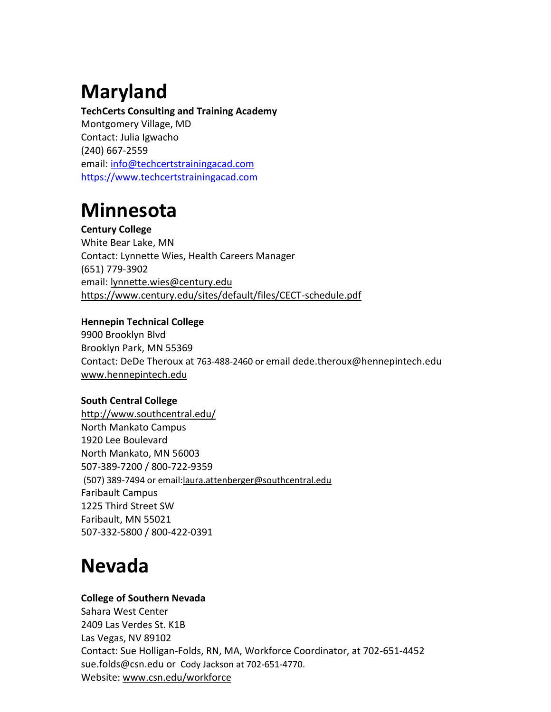# **Maryland**

**TechCerts Consulting and Training Academy** Montgomery Village, MD Contact: Julia Igwacho (240) 667-2559 email[: info@techcertstrainingacad.com](mailto:info@techcertstrainingacad.com) [https://www.techcertstrainingacad.com](https://www.techcertstrainingacad.com/)

# **Minnesota**

#### **Century College**

White Bear Lake, MN Contact: Lynnette Wies, Health Careers Manager (651) 779-3902 email[: lynnette.wies@century.edu](mailto:lynnette.wies@century.edu) <https://www.century.edu/sites/default/files/CECT-schedule.pdf>

#### **Hennepin Technical College**

9900 Brooklyn Blvd Brooklyn Park, MN 55369 Contact: DeDe Theroux at 763-488-2460 or email dede.theroux@hennepintech.edu [www.hennepintech.edu](http://www.hennepintech.edu/)

#### **South Central College**

<http://www.southcentral.edu/> North Mankato Campus 1920 Lee Boulevard North Mankato, MN 56003 507-389-7200 / 800-722-9359 (507) 389-7494 or email[:laura.attenberger@southcentral.edu](mailto:laura.attenberger@southcentral.edu) Faribault Campus 1225 Third Street SW Faribault, MN 55021 507-332-5800 / 800-422-0391

### **Nevada**

#### **College of Southern Nevada**

Sahara West Center 2409 Las Verdes St. K1B Las Vegas, NV 89102 Contact: Sue Holligan-Folds, RN, MA, Workforce Coordinator, at 702-651-4452 [sue.folds@csn.edu](mailto:sue.folds@csn.edu) or Cody Jackson at 702-651-4770. Website: [www.csn.edu/workforce](http://www.csn.edu/workforce)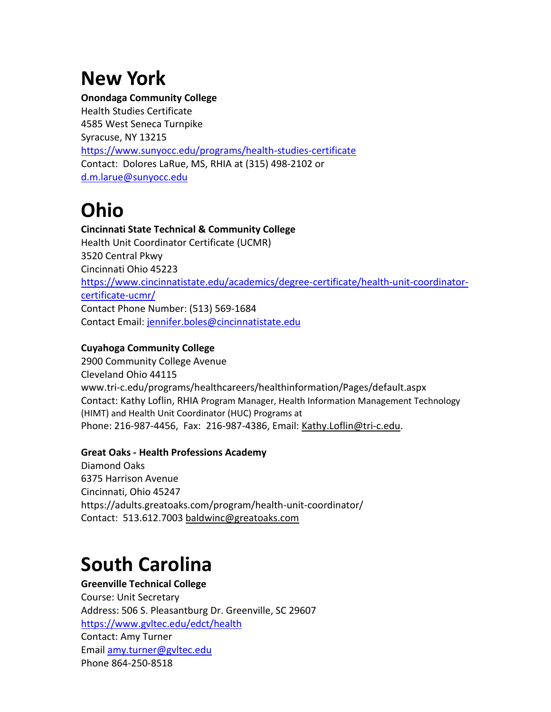# **New York**

#### **Onondaga Community College**

Health Studies Certificate 4585 West Seneca Turnpike Syracuse, NY 13215 <https://www.sunyocc.edu/programs/health-studies-certificate> Contact: Dolores LaRue, MS, RHIA at (315) 498-2102 or [d.m.larue@sunyocc.edu](mailto:d.m.larue@sunyocc.edu)

# **Ohio**

**Cincinnati State Technical & Community College** Health Unit Coordinator Certificate (UCMR) 3520 Central Pkwy Cincinnati Ohio 45223 [https://www.cincinnatistate.edu/academics/degree-certificate/health-unit-coordinator](https://www.cincinnatistate.edu/academics/degree-certificate/health-unit-coordinator-certificate-ucmr/)[certificate-ucmr/](https://www.cincinnatistate.edu/academics/degree-certificate/health-unit-coordinator-certificate-ucmr/) Contact Phone Number: (513) 569-1684 Contact Email: [jennifer.boles@cincinnatistate.edu](mailto:jennifer.boles@cincinnatistate.edu)

#### **Cuyahoga Community College**

2900 Community College Avenue Cleveland Ohio 44115 www.tri-c.edu/programs/healthcareers/healthinformation/Pages/default.aspx Contact: Kathy Loflin, RHIA Program Manager, Health Information Management Technology (HIMT) and Health Unit Coordinator (HUC) Programs at Phone: 216-987-4456, Fax: 216-987-4386, Email: [Kathy.Loflin@tri-c.edu.](mailto:Kathy.Loflin@tri-c.edu)

#### **Great Oaks - Health Professions Academy**

Diamond Oaks 6375 Harrison Avenue Cincinnati, Ohio 45247 https://adults.greatoaks.com/program/health-unit-coordinator/ Contact: 513.612.7003 [baldwinc@greatoaks.com](mailto:baldwinc@greatoaks.com)

### **South Carolina**

#### **Greenville Technical College**

Course: Unit Secretary Address: 506 S. Pleasantburg Dr. Greenville, SC 29607 <https://www.gvltec.edu/edct/health> Contact: Amy Turner Email [amy.turner@gvltec.edu](mailto:amy.turner@gvltec.edu) Phone 864-250-8518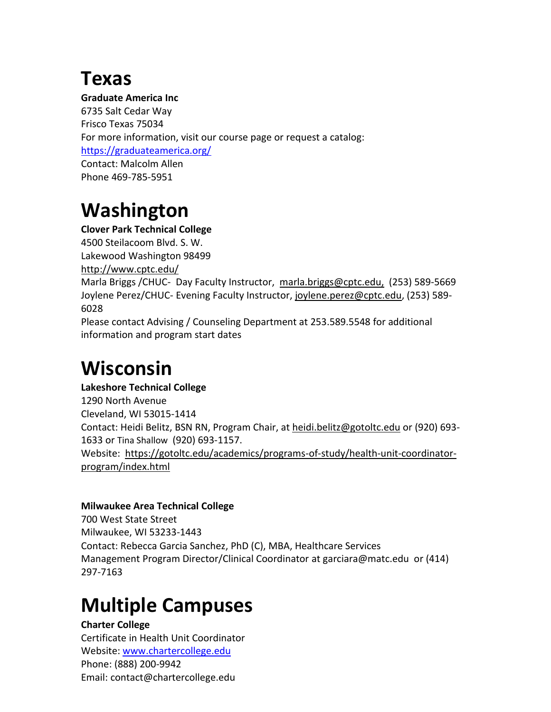### **Texas**

#### **Graduate America Inc**

6735 Salt Cedar Way Frisco Texas 75034 For more information, visit our course page or request a catalog: <https://graduateamerica.org/> Contact: Malcolm Allen Phone 469-785-5951

# **Washington**

#### **Clover Park Technical College**

4500 Steilacoom Blvd. S. W. Lakewood Washington 98499 <http://www.cptc.edu/> Marla Briggs / CHUC- Day Faculty Instructor, [marla.briggs@cptc.edu,](mailto:marla.briggs@cptc.edu) (253) 589-5669 Joylene Perez/CHUC- Evening Faculty Instructor, [joylene.perez@cptc.edu,](mailto:joylene.perez@cptc.edu) (253) 589- 6028

Please contact Advising / Counseling Department at 253.589.5548 for additional information and program start dates

## **Wisconsin**

#### **Lakeshore Technical College**

1290 North Avenue Cleveland, WI 53015-1414 Contact: Heidi Belitz, BSN RN, Program Chair, at **heidi.belitz@gotoltc.edu** or (920) 693-1633 or Tina Shallow (920) 693-1157. Website: [https://gotoltc.edu/academics/programs-of-study/health-unit-coordinator](https://gotoltc.edu/academics/programs-of-study/health-unit-coordinator-program/index.html)[program/index.html](https://gotoltc.edu/academics/programs-of-study/health-unit-coordinator-program/index.html)

#### **Milwaukee Area Technical College**

700 West State Street Milwaukee, WI 53233-1443 Contact: Rebecca Garcia Sanchez, PhD (C), MBA, Healthcare Services Management Program Director/Clinical Coordinator a[t garciara@matc.edu](mailto:garciara@matc.edu) or [\(414\)](tel:(414)%20297-7163)  [297-7163](tel:(414)%20297-7163)

# **Multiple Campuses**

#### **Charter College**

Certificate in Health Unit Coordinator Website: [www.chartercollege.edu](http://www.chartercollege.edu/) Phone: (888) 200-9942 Email: contact@chartercollege.edu